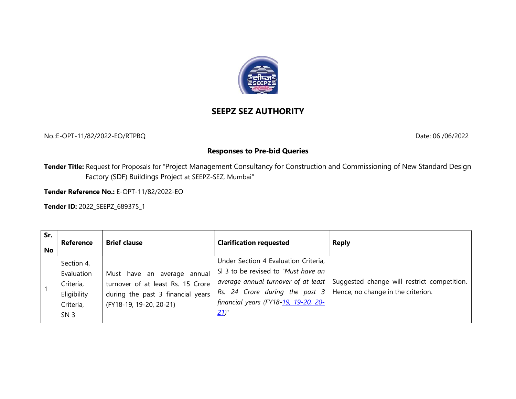

## SEEPZ SEZ AUTHORITY

No.:E-OPT-11/82/2022-EO/RTPBQ Date: 06 /06/2022

## Responses to Pre-bid Queries

Tender Title: Request for Proposals for "Project Management Consultancy for Construction and Commissioning of New Standard Design Factory (SDF) Buildings Project at SEEPZ-SEZ, Mumbai"

Tender Reference No.: E-OPT-11/82/2022-EO

Tender ID: 2022\_SEEPZ\_689375\_1

| Sr.<br>Reference<br><b>No</b>                                                        | <b>Brief clause</b>                                                                                                              | <b>Clarification requested</b>                                                                                                                                                                         | <b>Reply</b>                                                                    |
|--------------------------------------------------------------------------------------|----------------------------------------------------------------------------------------------------------------------------------|--------------------------------------------------------------------------------------------------------------------------------------------------------------------------------------------------------|---------------------------------------------------------------------------------|
| Section 4,<br>Evaluation<br>Criteria,<br>Eligibility<br>Criteria,<br>SN <sub>3</sub> | Must have an average annual<br>turnover of at least Rs. 15 Crore<br>during the past 3 financial years<br>(FY18-19, 19-20, 20-21) | Under Section 4 Evaluation Criteria,<br>SI 3 to be revised to "Must have an<br>Rs. 24 Crore during the past $3$   Hence, no change in the criterion.<br>financial years (FY18-19, 19-20, 20-<br>$21$ " | average annual turnover of at least Suggested change will restrict competition. |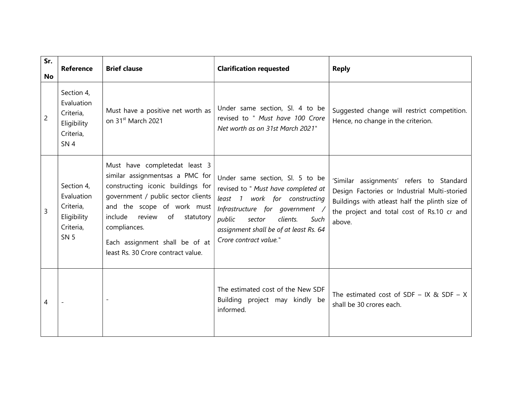| Sr.<br>No | <b>Reference</b>                                                                     | <b>Brief clause</b>                                                                                                                                                                                                                                                                                 | <b>Clarification requested</b>                                                                                                                                                                                                                          | <b>Reply</b>                                                                                                                                                                                       |
|-----------|--------------------------------------------------------------------------------------|-----------------------------------------------------------------------------------------------------------------------------------------------------------------------------------------------------------------------------------------------------------------------------------------------------|---------------------------------------------------------------------------------------------------------------------------------------------------------------------------------------------------------------------------------------------------------|----------------------------------------------------------------------------------------------------------------------------------------------------------------------------------------------------|
| 2         | Section 4,<br>Evaluation<br>Criteria,<br>Eligibility<br>Criteria,<br>SN <sub>4</sub> | Must have a positive net worth as<br>on 31 <sup>st</sup> March 2021                                                                                                                                                                                                                                 | Under same section, Sl. 4 to be<br>revised to " Must have 100 Crore<br>Net worth as on 31st March 2021"                                                                                                                                                 | Suggested change will restrict competition.<br>Hence, no change in the criterion.                                                                                                                  |
| 3         | Section 4,<br>Evaluation<br>Criteria,<br>Eligibility<br>Criteria,<br><b>SN 5</b>     | Must have completedat least 3<br>similar assignmentsas a PMC for<br>constructing iconic buildings for<br>government / public sector clients<br>and the scope of work must<br>review of statutory<br>include<br>compliances.<br>Each assignment shall be of at<br>least Rs. 30 Crore contract value. | Under same section, Sl. 5 to be<br>revised to " Must have completed at<br>least 1<br>work for constructing<br>Infrastructure for government<br>clients.<br>public<br>sector<br>Such<br>assignment shall be of at least Rs. 64<br>Crore contract value." | 'Similar assignments' refers to Standard<br>Design Factories or Industrial Multi-storied<br>Buildings with atleast half the plinth size of<br>the project and total cost of Rs.10 cr and<br>above. |
| 4         |                                                                                      | $\overline{\phantom{a}}$                                                                                                                                                                                                                                                                            | The estimated cost of the New SDF<br>Building project may kindly be<br>informed.                                                                                                                                                                        | The estimated cost of SDF - IX & SDF - X<br>shall be 30 crores each.                                                                                                                               |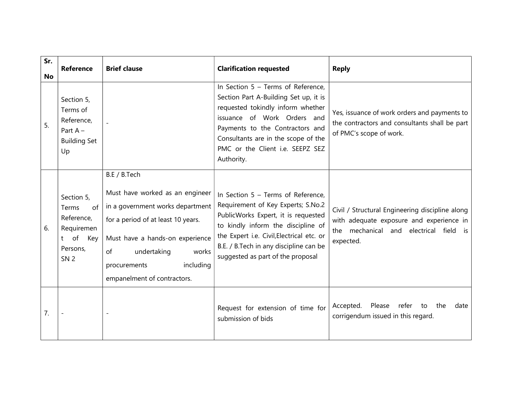| Sr.<br><b>No</b> | <b>Reference</b>                                                                                      | <b>Brief clause</b>                                                                                                                                                                                                                                    | <b>Clarification requested</b>                                                                                                                                                                                                                                                    | <b>Reply</b>                                                                                                                                             |
|------------------|-------------------------------------------------------------------------------------------------------|--------------------------------------------------------------------------------------------------------------------------------------------------------------------------------------------------------------------------------------------------------|-----------------------------------------------------------------------------------------------------------------------------------------------------------------------------------------------------------------------------------------------------------------------------------|----------------------------------------------------------------------------------------------------------------------------------------------------------|
| 5.               | Section 5,<br>Terms of<br>Reference,<br>Part $A -$<br><b>Building Set</b><br>Up                       |                                                                                                                                                                                                                                                        | In Section 5 - Terms of Reference,<br>Section Part A-Building Set up, it is<br>requested tokindly inform whether<br>issuance of Work Orders and<br>Payments to the Contractors and<br>Consultants are in the scope of the<br>PMC or the Client i.e. SEEPZ SEZ<br>Authority.       | Yes, issuance of work orders and payments to<br>the contractors and consultants shall be part<br>of PMC's scope of work.                                 |
| 6.               | Section 5,<br>Terms<br>of I<br>Reference,<br>Requiremen<br>t of<br>Key<br>Persons,<br>SN <sub>2</sub> | B.E / B.Tech<br>Must have worked as an engineer<br>in a government works department<br>for a period of at least 10 years.<br>Must have a hands-on experience<br>undertaking<br>works<br>of<br>including<br>procurements<br>empanelment of contractors. | In Section 5 - Terms of Reference,<br>Requirement of Key Experts; S.No.2<br>PublicWorks Expert, it is requested<br>to kindly inform the discipline of<br>the Expert i.e. Civil, Electrical etc. or<br>B.E. / B.Tech in any discipline can be<br>suggested as part of the proposal | Civil / Structural Engineering discipline along<br>with adequate exposure and experience in<br>mechanical<br>and electrical field is<br>the<br>expected. |
| 7.               |                                                                                                       | $\blacksquare$                                                                                                                                                                                                                                         | Request for extension of time for<br>submission of bids                                                                                                                                                                                                                           | Accepted.<br>Please<br>refer<br>the<br>to<br>date<br>corrigendum issued in this regard.                                                                  |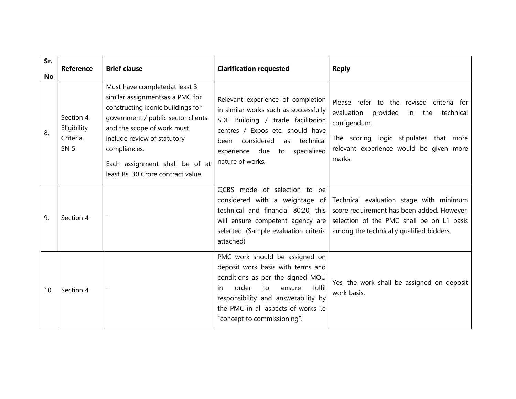| Sr.<br><b>No</b> | <b>Reference</b>                                      | <b>Brief clause</b>                                                                                                                                                                                                                                                                              | <b>Clarification requested</b>                                                                                                                                                                                                                                 | <b>Reply</b>                                                                                                                                                                                             |
|------------------|-------------------------------------------------------|--------------------------------------------------------------------------------------------------------------------------------------------------------------------------------------------------------------------------------------------------------------------------------------------------|----------------------------------------------------------------------------------------------------------------------------------------------------------------------------------------------------------------------------------------------------------------|----------------------------------------------------------------------------------------------------------------------------------------------------------------------------------------------------------|
| 8.               | Section 4,<br>Eligibility<br>Criteria,<br><b>SN 5</b> | Must have completedat least 3<br>similar assignmentsas a PMC for<br>constructing iconic buildings for<br>government / public sector clients<br>and the scope of work must<br>include review of statutory<br>compliances.<br>Each assignment shall be of at<br>least Rs. 30 Crore contract value. | Relevant experience of completion<br>in similar works such as successfully<br>SDF Building / trade facilitation<br>centres / Expos etc. should have<br>considered<br>as technical<br>been<br>experience due to specialized<br>nature of works.                 | Please refer to the revised criteria for<br>evaluation<br>provided<br>technical<br>in the<br>corrigendum.<br>The scoring logic stipulates that more<br>relevant experience would be given more<br>marks. |
| 9.               | Section 4                                             |                                                                                                                                                                                                                                                                                                  | QCBS mode of selection to be<br>considered with a weightage of<br>technical and financial 80:20, this<br>will ensure competent agency are<br>selected. (Sample evaluation criteria<br>attached)                                                                | Technical evaluation stage with minimum<br>score requirement has been added. However,<br>selection of the PMC shall be on L1 basis<br>among the technically qualified bidders.                           |
| 10.              | Section 4                                             |                                                                                                                                                                                                                                                                                                  | PMC work should be assigned on<br>deposit work basis with terms and<br>conditions as per the signed MOU<br>order<br>fulfil<br>to<br>ensure<br>in.<br>responsibility and answerability by<br>the PMC in all aspects of works i.e<br>"concept to commissioning". | Yes, the work shall be assigned on deposit<br>work basis.                                                                                                                                                |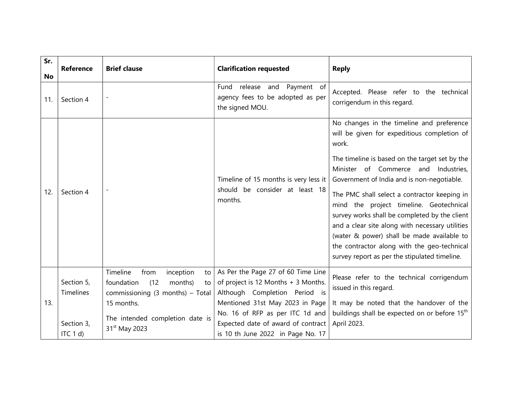| Sr.       | <b>Reference</b>        | <b>Brief clause</b>                                                                                            | <b>Clarification requested</b>                                                                             | <b>Reply</b>                                                                                                                                                                                                                                                                                                                                                                                                                             |
|-----------|-------------------------|----------------------------------------------------------------------------------------------------------------|------------------------------------------------------------------------------------------------------------|------------------------------------------------------------------------------------------------------------------------------------------------------------------------------------------------------------------------------------------------------------------------------------------------------------------------------------------------------------------------------------------------------------------------------------------|
| No<br>11. | Section 4               | $\overline{\phantom{a}}$                                                                                       | release and Payment of<br>Fund<br>agency fees to be adopted as per<br>the signed MOU.                      | Accepted. Please refer to the technical<br>corrigendum in this regard.                                                                                                                                                                                                                                                                                                                                                                   |
| 12.       | Section 4               | $\overline{\phantom{a}}$                                                                                       | Timeline of 15 months is very less it<br>should be consider at least 18<br>months.                         | No changes in the timeline and preference<br>will be given for expeditious completion of<br>work.<br>The timeline is based on the target set by the<br>Minister of Commerce and Industries,<br>Government of India and is non-negotiable.<br>The PMC shall select a contractor keeping in<br>mind the project timeline. Geotechnical<br>survey works shall be completed by the client<br>and a clear site along with necessary utilities |
|           |                         |                                                                                                                |                                                                                                            | (water & power) shall be made available to<br>the contractor along with the geo-technical<br>survey report as per the stipulated timeline.                                                                                                                                                                                                                                                                                               |
|           | Section 5,<br>Timelines | Timeline<br>inception<br>from<br>to<br>(12)<br>foundation<br>months)<br>to<br>commissioning (3 months) - Total | As Per the Page 27 of 60 Time Line<br>of project is 12 Months + 3 Months.<br>Although Completion Period is | Please refer to the technical corrigendum<br>issued in this regard.                                                                                                                                                                                                                                                                                                                                                                      |
| 13.       |                         | 15 months.                                                                                                     | Mentioned 31st May 2023 in Page                                                                            | It may be noted that the handover of the                                                                                                                                                                                                                                                                                                                                                                                                 |
|           | Section 3,              | The intended completion date is                                                                                | No. 16 of RFP as per ITC 1d and<br>Expected date of award of contract                                      | buildings shall be expected on or before 15 <sup>th</sup><br>April 2023.                                                                                                                                                                                                                                                                                                                                                                 |
|           | ITC 1 d                 | 31 <sup>st</sup> May 2023                                                                                      | is 10 th June 2022 in Page No. 17                                                                          |                                                                                                                                                                                                                                                                                                                                                                                                                                          |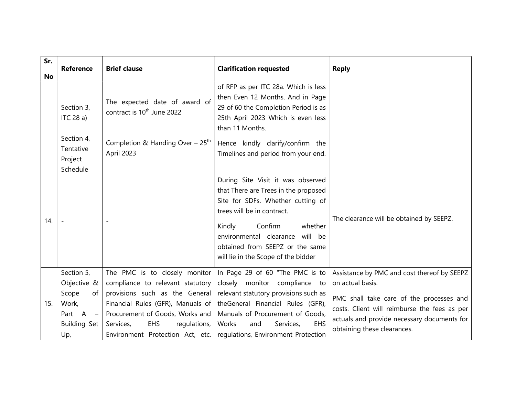| Sr.<br><b>No</b> | <b>Reference</b>                                                                                                                      | <b>Brief clause</b>                                                                                                                                                                                                                                        | <b>Clarification requested</b>                                                                                                                                                                                                                                                            | <b>Reply</b>                                                                                                                                                                                                                              |
|------------------|---------------------------------------------------------------------------------------------------------------------------------------|------------------------------------------------------------------------------------------------------------------------------------------------------------------------------------------------------------------------------------------------------------|-------------------------------------------------------------------------------------------------------------------------------------------------------------------------------------------------------------------------------------------------------------------------------------------|-------------------------------------------------------------------------------------------------------------------------------------------------------------------------------------------------------------------------------------------|
|                  | Section 3,<br>ITC 28 a)                                                                                                               | The expected date of award of<br>contract is 10 <sup>th</sup> June 2022                                                                                                                                                                                    | of RFP as per ITC 28a. Which is less<br>then Even 12 Months. And in Page<br>29 of 60 the Completion Period is as<br>25th April 2023 Which is even less<br>than 11 Months.                                                                                                                 |                                                                                                                                                                                                                                           |
|                  | Section 4,<br>Tentative<br>Project<br>Schedule                                                                                        | Completion & Handing Over - $25th$<br>April 2023                                                                                                                                                                                                           | Hence kindly clarify/confirm the<br>Timelines and period from your end.                                                                                                                                                                                                                   |                                                                                                                                                                                                                                           |
| 14.              |                                                                                                                                       | $\overline{\phantom{a}}$                                                                                                                                                                                                                                   | During Site Visit it was observed<br>that There are Trees in the proposed<br>Site for SDFs. Whether cutting of<br>trees will be in contract.<br>whether<br>Confirm<br>Kindly<br>environmental clearance will be<br>obtained from SEEPZ or the same<br>will lie in the Scope of the bidder | The clearance will be obtained by SEEPZ.                                                                                                                                                                                                  |
| 15.              | Section 5,<br>Objective &<br>Scope<br>of<br>Work,<br>$\overline{A}$<br>Part<br>$\hspace{0.1mm}-\hspace{0.1mm}$<br>Building Set<br>Up, | The PMC is to closely monitor<br>compliance to relevant statutory<br>provisions such as the General<br>Financial Rules (GFR), Manuals of<br>Procurement of Goods, Works and<br>Services,<br><b>EHS</b><br>regulations,<br>Environment Protection Act, etc. | In Page 29 of 60 "The PMC is to<br>closely monitor compliance to<br>relevant statutory provisions such as<br>theGeneral Financial Rules (GFR),<br>Manuals of Procurement of Goods,<br>EHS<br>Works<br>Services,<br>and<br>regulations, Environment Protection                             | Assistance by PMC and cost thereof by SEEPZ<br>on actual basis.<br>PMC shall take care of the processes and<br>costs. Client will reimburse the fees as per<br>actuals and provide necessary documents for<br>obtaining these clearances. |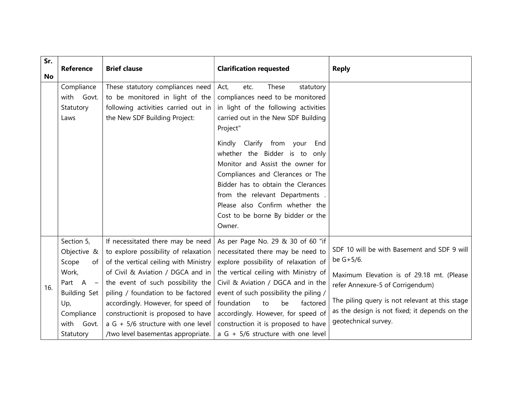| Sr.<br><b>No</b> | <b>Reference</b>                                                                                                                                                      | <b>Brief clause</b>                                                                                                                                                                                                                                                                                                                                                                        | <b>Clarification requested</b>                                                                                                                                                                                                                                                                                                                                                                                                                                             | <b>Reply</b>                                                                                                                                                                                                                                                         |
|------------------|-----------------------------------------------------------------------------------------------------------------------------------------------------------------------|--------------------------------------------------------------------------------------------------------------------------------------------------------------------------------------------------------------------------------------------------------------------------------------------------------------------------------------------------------------------------------------------|----------------------------------------------------------------------------------------------------------------------------------------------------------------------------------------------------------------------------------------------------------------------------------------------------------------------------------------------------------------------------------------------------------------------------------------------------------------------------|----------------------------------------------------------------------------------------------------------------------------------------------------------------------------------------------------------------------------------------------------------------------|
|                  | Compliance<br>with Govt.<br>Statutory<br>Laws                                                                                                                         | These statutory compliances need<br>to be monitored in light of the<br>following activities carried out in<br>the New SDF Building Project:                                                                                                                                                                                                                                                | Act,<br>These<br>etc.<br>statutory<br>compliances need to be monitored<br>in light of the following activities<br>carried out in the New SDF Building<br>Project"<br>Kindly<br>Clarify from your<br>End<br>whether the Bidder is to only<br>Monitor and Assist the owner for<br>Compliances and Clerances or The<br>Bidder has to obtain the Clerances<br>from the relevant Departments.<br>Please also Confirm whether the<br>Cost to be borne By bidder or the<br>Owner. |                                                                                                                                                                                                                                                                      |
| 16.              | Section 5,<br>Objective &<br>Scope<br>of<br>Work,<br>Part A<br>$\hspace{0.1mm}-\hspace{0.1mm}$<br><b>Building Set</b><br>Up,<br>Compliance<br>with Govt.<br>Statutory | If necessitated there may be need<br>to explore possibility of relaxation<br>of the vertical ceiling with Ministry<br>of Civil & Aviation / DGCA and in<br>the event of such possibility the<br>piling / foundation to be factored<br>accordingly. However, for speed of<br>constructionit is proposed to have<br>a G + 5/6 structure with one level<br>/two level basementas appropriate. | As per Page No. 29 & 30 of 60 "if<br>necessitated there may be need to<br>explore possibility of relaxation of<br>the vertical ceiling with Ministry of<br>Civil & Aviation / DGCA and in the<br>event of such possibility the piling /<br>foundation<br>be<br>factored<br>to<br>accordingly. However, for speed of<br>construction it is proposed to have<br>a G + 5/6 structure with one level                                                                           | SDF 10 will be with Basement and SDF 9 will<br>be G+5/6.<br>Maximum Elevation is of 29.18 mt. (Please<br>refer Annexure-5 of Corrigendum)<br>The piling query is not relevant at this stage<br>as the design is not fixed; it depends on the<br>geotechnical survey. |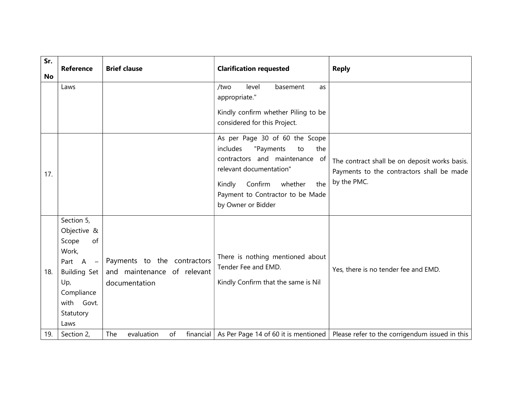| Sr.<br><b>No</b> | <b>Reference</b>                                                                                                                        | <b>Brief clause</b>                                                         | <b>Clarification requested</b>                                                                                                                                                                                                     | <b>Reply</b>                                                                                              |
|------------------|-----------------------------------------------------------------------------------------------------------------------------------------|-----------------------------------------------------------------------------|------------------------------------------------------------------------------------------------------------------------------------------------------------------------------------------------------------------------------------|-----------------------------------------------------------------------------------------------------------|
|                  | Laws                                                                                                                                    |                                                                             | level<br>/two<br>basement<br>as<br>appropriate."<br>Kindly confirm whether Piling to be<br>considered for this Project.                                                                                                            |                                                                                                           |
| 17.              |                                                                                                                                         |                                                                             | As per Page 30 of 60 the Scope<br>includes<br>"Payments<br>to<br>the<br>contractors and maintenance of<br>relevant documentation"<br>Confirm<br>the<br>Kindly<br>whether<br>Payment to Contractor to be Made<br>by Owner or Bidder | The contract shall be on deposit works basis.<br>Payments to the contractors shall be made<br>by the PMC. |
| 18.              | Section 5,<br>Objective &<br>Scope<br>of<br>Work,<br>Part $A -$<br>Building Set<br>Up,<br>Compliance<br>with Govt.<br>Statutory<br>Laws | Payments to the contractors<br>and maintenance of relevant<br>documentation | There is nothing mentioned about<br>Tender Fee and EMD.<br>Kindly Confirm that the same is Nil                                                                                                                                     | Yes, there is no tender fee and EMD.                                                                      |
| 19.              | Section 2,                                                                                                                              | financial<br>The<br>evaluation<br>of                                        | As Per Page 14 of 60 it is mentioned                                                                                                                                                                                               | Please refer to the corrigendum issued in this                                                            |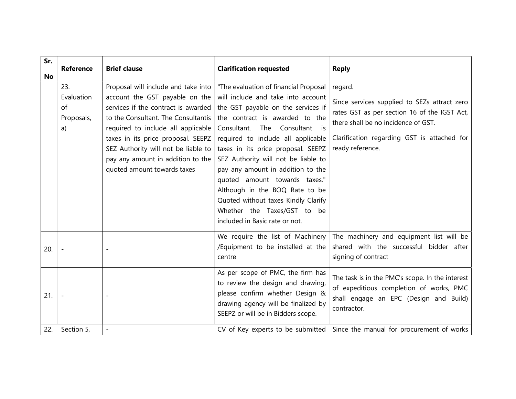| Sr.<br><b>No</b> | <b>Reference</b>                            | <b>Brief clause</b>                                                                                                                                                                                                                                                                                                                        | <b>Clarification requested</b>                                                                                                                                                                                                                                                                                                                                                                                                                                                                                             | <b>Reply</b>                                                                                                                                                                                                      |
|------------------|---------------------------------------------|--------------------------------------------------------------------------------------------------------------------------------------------------------------------------------------------------------------------------------------------------------------------------------------------------------------------------------------------|----------------------------------------------------------------------------------------------------------------------------------------------------------------------------------------------------------------------------------------------------------------------------------------------------------------------------------------------------------------------------------------------------------------------------------------------------------------------------------------------------------------------------|-------------------------------------------------------------------------------------------------------------------------------------------------------------------------------------------------------------------|
|                  | 23.<br>Evaluation<br>of<br>Proposals,<br>a) | Proposal will include and take into<br>account the GST payable on the<br>services if the contract is awarded<br>to the Consultant. The Consultantis<br>required to include all applicable<br>taxes in its price proposal. SEEPZ<br>SEZ Authority will not be liable to<br>pay any amount in addition to the<br>quoted amount towards taxes | "The evaluation of financial Proposal<br>will include and take into account<br>the GST payable on the services if<br>the contract is awarded to the<br>The Consultant is<br>Consultant.<br>required to include all applicable<br>taxes in its price proposal. SEEPZ<br>SEZ Authority will not be liable to<br>pay any amount in addition to the<br>quoted amount towards taxes."<br>Although in the BOQ Rate to be<br>Quoted without taxes Kindly Clarify<br>Whether the Taxes/GST to be<br>included in Basic rate or not. | regard.<br>Since services supplied to SEZs attract zero<br>rates GST as per section 16 of the IGST Act,<br>there shall be no incidence of GST.<br>Clarification regarding GST is attached for<br>ready reference. |
| 20.              |                                             |                                                                                                                                                                                                                                                                                                                                            | We require the list of Machinery<br>/Equipment to be installed at the<br>centre                                                                                                                                                                                                                                                                                                                                                                                                                                            | The machinery and equipment list will be<br>shared with the successful bidder after<br>signing of contract                                                                                                        |
| 21.              |                                             |                                                                                                                                                                                                                                                                                                                                            | As per scope of PMC, the firm has<br>to review the design and drawing,<br>please confirm whether Design &<br>drawing agency will be finalized by<br>SEEPZ or will be in Bidders scope.                                                                                                                                                                                                                                                                                                                                     | The task is in the PMC's scope. In the interest<br>of expeditious completion of works, PMC<br>shall engage an EPC (Design and Build)<br>contractor.                                                               |
| 22.              | Section 5,                                  | $\sim$                                                                                                                                                                                                                                                                                                                                     | CV of Key experts to be submitted                                                                                                                                                                                                                                                                                                                                                                                                                                                                                          | Since the manual for procurement of works                                                                                                                                                                         |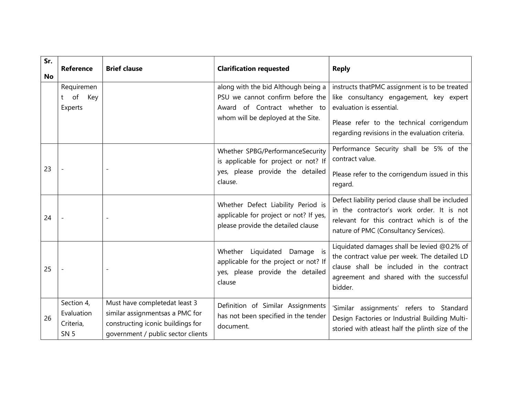| Sr.<br><b>No</b> | <b>Reference</b>                                     | <b>Brief clause</b>                                                                                                                         | <b>Clarification requested</b>                                                                                                                | <b>Reply</b>                                                                                                                                                                                                         |
|------------------|------------------------------------------------------|---------------------------------------------------------------------------------------------------------------------------------------------|-----------------------------------------------------------------------------------------------------------------------------------------------|----------------------------------------------------------------------------------------------------------------------------------------------------------------------------------------------------------------------|
|                  | Requiremen<br>t of Key<br>Experts                    |                                                                                                                                             | along with the bid Although being a<br>PSU we cannot confirm before the<br>Award of Contract whether to<br>whom will be deployed at the Site. | instructs thatPMC assignment is to be treated<br>like consultancy engagement, key expert<br>evaluation is essential.<br>Please refer to the technical corrigendum<br>regarding revisions in the evaluation criteria. |
| 23               |                                                      |                                                                                                                                             | Whether SPBG/PerformanceSecurity<br>is applicable for project or not? If<br>yes, please provide the detailed<br>clause.                       | Performance Security shall be 5% of the<br>contract value.<br>Please refer to the corrigendum issued in this<br>regard.                                                                                              |
| 24               |                                                      |                                                                                                                                             | Whether Defect Liability Period is<br>applicable for project or not? If yes,<br>please provide the detailed clause                            | Defect liability period clause shall be included<br>in the contractor's work order. It is not<br>relevant for this contract which is of the<br>nature of PMC (Consultancy Services).                                 |
| 25               |                                                      | $\overline{\phantom{a}}$                                                                                                                    | Whether Liquidated Damage is<br>applicable for the project or not? If<br>yes, please provide the detailed<br>clause                           | Liquidated damages shall be levied @0.2% of<br>the contract value per week. The detailed LD<br>clause shall be included in the contract<br>agreement and shared with the successful<br>bidder.                       |
| 26               | Section 4,<br>Evaluation<br>Criteria,<br><b>SN 5</b> | Must have completedat least 3<br>similar assignmentsas a PMC for<br>constructing iconic buildings for<br>government / public sector clients | Definition of Similar Assignments<br>has not been specified in the tender<br>document.                                                        | 'Similar assignments' refers to Standard<br>Design Factories or Industrial Building Multi-<br>storied with atleast half the plinth size of the                                                                       |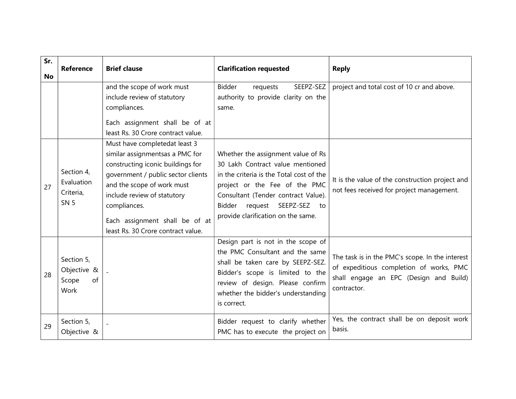| Sr.<br>No | <b>Reference</b>                                     | <b>Brief clause</b>                                                                                                                                                                                                                                                                              | <b>Clarification requested</b>                                                                                                                                                                                                                                           | <b>Reply</b>                                                                                                                                        |
|-----------|------------------------------------------------------|--------------------------------------------------------------------------------------------------------------------------------------------------------------------------------------------------------------------------------------------------------------------------------------------------|--------------------------------------------------------------------------------------------------------------------------------------------------------------------------------------------------------------------------------------------------------------------------|-----------------------------------------------------------------------------------------------------------------------------------------------------|
|           |                                                      | and the scope of work must<br>include review of statutory<br>compliances.<br>Each assignment shall be of at<br>least Rs. 30 Crore contract value.                                                                                                                                                | <b>Bidder</b><br>SEEPZ-SEZ<br>requests<br>authority to provide clarity on the<br>same.                                                                                                                                                                                   | project and total cost of 10 cr and above.                                                                                                          |
| 27        | Section 4,<br>Evaluation<br>Criteria,<br><b>SN 5</b> | Must have completedat least 3<br>similar assignmentsas a PMC for<br>constructing iconic buildings for<br>government / public sector clients<br>and the scope of work must<br>include review of statutory<br>compliances.<br>Each assignment shall be of at<br>least Rs. 30 Crore contract value. | Whether the assignment value of Rs<br>30 Lakh Contract value mentioned<br>in the criteria is the Total cost of the<br>project or the Fee of the PMC<br>Consultant (Tender contract Value).<br>Bidder<br>request<br>SEEPZ-SEZ<br>to<br>provide clarification on the same. | It is the value of the construction project and<br>not fees received for project management.                                                        |
| 28        | Section 5,<br>Objective &<br>of<br>Scope<br>Work     |                                                                                                                                                                                                                                                                                                  | Design part is not in the scope of<br>the PMC Consultant and the same<br>shall be taken care by SEEPZ-SEZ.<br>Bidder's scope is limited to the<br>review of design. Please confirm<br>whether the bidder's understanding<br>is correct.                                  | The task is in the PMC's scope. In the interest<br>of expeditious completion of works, PMC<br>shall engage an EPC (Design and Build)<br>contractor. |
| 29        | Section 5,<br>Objective &                            |                                                                                                                                                                                                                                                                                                  | Bidder request to clarify whether<br>PMC has to execute the project on                                                                                                                                                                                                   | Yes, the contract shall be on deposit work<br>basis.                                                                                                |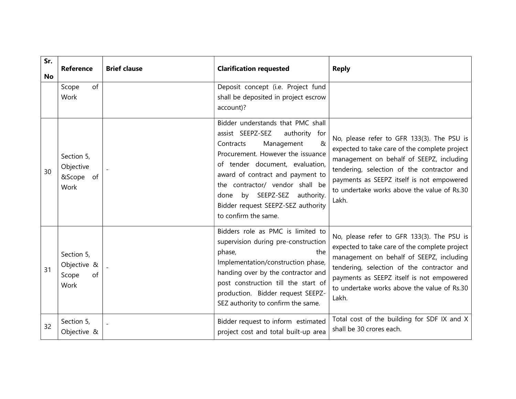| Sr.<br><b>No</b> | <b>Reference</b>                                 | <b>Brief clause</b> | <b>Clarification requested</b>                                                                                                                                                                                                                                                                                                                         | <b>Reply</b>                                                                                                                                                                                                                                                                               |
|------------------|--------------------------------------------------|---------------------|--------------------------------------------------------------------------------------------------------------------------------------------------------------------------------------------------------------------------------------------------------------------------------------------------------------------------------------------------------|--------------------------------------------------------------------------------------------------------------------------------------------------------------------------------------------------------------------------------------------------------------------------------------------|
|                  | of<br>Scope<br>Work                              |                     | Deposit concept (i.e. Project fund<br>shall be deposited in project escrow<br>account)?                                                                                                                                                                                                                                                                |                                                                                                                                                                                                                                                                                            |
| 30               | Section 5,<br>Objective<br>&Scope of<br>Work     |                     | Bidder understands that PMC shall<br>assist SEEPZ-SEZ<br>authority for<br>Management<br>&<br>Contracts<br>Procurement. However the issuance<br>of tender document, evaluation,<br>award of contract and payment to<br>the contractor/ vendor shall be<br>by SEEPZ-SEZ authority.<br>done<br>Bidder request SEEPZ-SEZ authority<br>to confirm the same. | No, please refer to GFR 133(3). The PSU is<br>expected to take care of the complete project<br>management on behalf of SEEPZ, including<br>tendering, selection of the contractor and<br>payments as SEEPZ itself is not empowered<br>to undertake works above the value of Rs.30<br>Lakh. |
| 31               | Section 5,<br>Objective &<br>Scope<br>of<br>Work |                     | Bidders role as PMC is limited to<br>supervision during pre-construction<br>phase,<br>the<br>Implementation/construction phase,<br>handing over by the contractor and<br>post construction till the start of<br>production. Bidder request SEEPZ-<br>SEZ authority to confirm the same.                                                                | No, please refer to GFR 133(3). The PSU is<br>expected to take care of the complete project<br>management on behalf of SEEPZ, including<br>tendering, selection of the contractor and<br>payments as SEEPZ itself is not empowered<br>to undertake works above the value of Rs.30<br>Lakh. |
| 32               | Section 5,<br>Objective &                        |                     | Bidder request to inform estimated<br>project cost and total built-up area                                                                                                                                                                                                                                                                             | Total cost of the building for SDF IX and X<br>shall be 30 crores each.                                                                                                                                                                                                                    |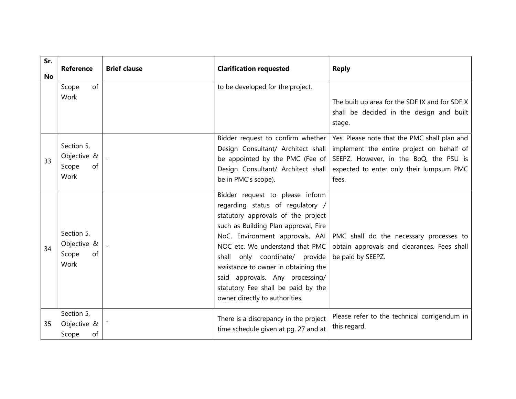| Sr.       | <b>Reference</b>                                 | <b>Brief clause</b> | <b>Clarification requested</b>                                                                                                                                                                                                                                                                                                                                                                               | <b>Reply</b>                                                                                                                                                                             |
|-----------|--------------------------------------------------|---------------------|--------------------------------------------------------------------------------------------------------------------------------------------------------------------------------------------------------------------------------------------------------------------------------------------------------------------------------------------------------------------------------------------------------------|------------------------------------------------------------------------------------------------------------------------------------------------------------------------------------------|
| <b>No</b> | of<br>Scope<br>Work                              |                     | to be developed for the project.                                                                                                                                                                                                                                                                                                                                                                             | The built up area for the SDF IX and for SDF X<br>shall be decided in the design and built<br>stage.                                                                                     |
| 33        | Section 5,<br>Objective &<br>Scope<br>of<br>Work |                     | Bidder request to confirm whether<br>Design Consultant/ Architect shall<br>be appointed by the PMC (Fee of<br>Design Consultant/ Architect shall<br>be in PMC's scope).                                                                                                                                                                                                                                      | Yes. Please note that the PMC shall plan and<br>implement the entire project on behalf of<br>SEEPZ. However, in the BoQ, the PSU is<br>expected to enter only their lumpsum PMC<br>fees. |
| 34        | Section 5,<br>Objective &<br>Scope<br>of<br>Work |                     | Bidder request to please inform<br>regarding status of regulatory /<br>statutory approvals of the project<br>such as Building Plan approval, Fire<br>NoC, Environment approvals, AAI<br>NOC etc. We understand that PMC<br>shall only coordinate/ provide<br>assistance to owner in obtaining the<br>said approvals. Any processing/<br>statutory Fee shall be paid by the<br>owner directly to authorities. | PMC shall do the necessary processes to<br>obtain approvals and clearances. Fees shall<br>be paid by SEEPZ.                                                                              |
| 35        | Section 5,<br>Objective &<br>Scope<br>of         |                     | There is a discrepancy in the project<br>time schedule given at pg. 27 and at                                                                                                                                                                                                                                                                                                                                | Please refer to the technical corrigendum in<br>this regard.                                                                                                                             |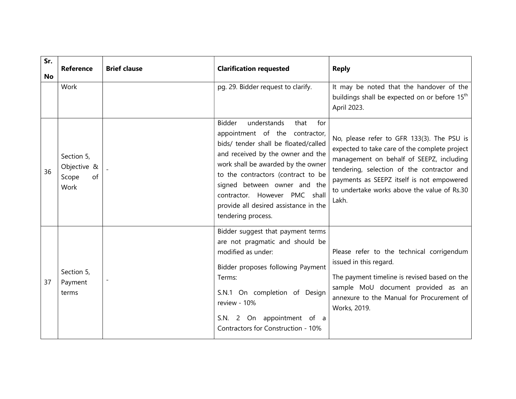| Sr. | <b>Reference</b>                                 | <b>Brief clause</b>      | <b>Clarification requested</b>                                                                                                                                                                                                                                                                                                                                         | <b>Reply</b>                                                                                                                                                                                                                                                                               |
|-----|--------------------------------------------------|--------------------------|------------------------------------------------------------------------------------------------------------------------------------------------------------------------------------------------------------------------------------------------------------------------------------------------------------------------------------------------------------------------|--------------------------------------------------------------------------------------------------------------------------------------------------------------------------------------------------------------------------------------------------------------------------------------------|
| No  | Work                                             |                          | pg. 29. Bidder request to clarify.                                                                                                                                                                                                                                                                                                                                     | It may be noted that the handover of the<br>buildings shall be expected on or before 15 <sup>th</sup><br>April 2023.                                                                                                                                                                       |
| 36  | Section 5,<br>Objective &<br>Scope<br>of<br>Work |                          | <b>Bidder</b><br>understands<br>that<br>for<br>appointment of the contractor,<br>bids/ tender shall be floated/called<br>and received by the owner and the<br>work shall be awarded by the owner<br>to the contractors (contract to be<br>signed between owner and the<br>contractor. However PMC shall<br>provide all desired assistance in the<br>tendering process. | No, please refer to GFR 133(3). The PSU is<br>expected to take care of the complete project<br>management on behalf of SEEPZ, including<br>tendering, selection of the contractor and<br>payments as SEEPZ itself is not empowered<br>to undertake works above the value of Rs.30<br>Lakh. |
| 37  | Section 5,<br>Payment<br>terms                   | $\overline{\phantom{a}}$ | Bidder suggest that payment terms<br>are not pragmatic and should be<br>modified as under:<br>Bidder proposes following Payment<br>Terms:<br>S.N.1 On completion of Design<br>review - 10%<br>S.N. 2 On appointment of a<br>Contractors for Construction - 10%                                                                                                         | Please refer to the technical corrigendum<br>issued in this regard.<br>The payment timeline is revised based on the<br>sample MoU document provided as an<br>annexure to the Manual for Procurement of<br>Works, 2019.                                                                     |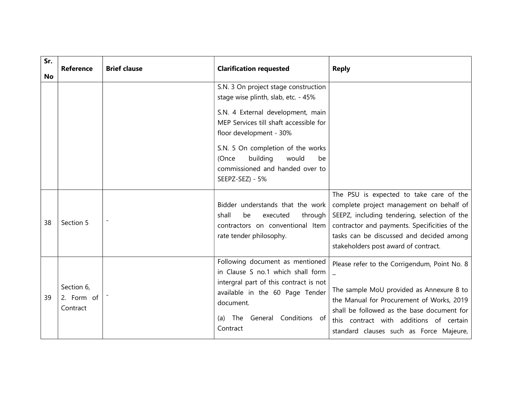| Sr.<br>No | <b>Reference</b>                     | <b>Brief clause</b> | <b>Clarification requested</b>                                                                                                                                                                                                                                                                                       | <b>Reply</b>                                                                                                                                                                                                                                                              |
|-----------|--------------------------------------|---------------------|----------------------------------------------------------------------------------------------------------------------------------------------------------------------------------------------------------------------------------------------------------------------------------------------------------------------|---------------------------------------------------------------------------------------------------------------------------------------------------------------------------------------------------------------------------------------------------------------------------|
|           |                                      |                     | S.N. 3 On project stage construction<br>stage wise plinth, slab, etc. - 45%<br>S.N. 4 External development, main<br>MEP Services till shaft accessible for<br>floor development - 30%<br>S.N. 5 On completion of the works<br>building<br>would<br>(Once<br>be<br>commissioned and handed over to<br>SEEPZ-SEZ) - 5% |                                                                                                                                                                                                                                                                           |
| 38        | Section 5                            | $\blacksquare$      | Bidder understands that the work<br>shall<br>be<br>through<br>executed<br>contractors on conventional Item<br>rate tender philosophy.                                                                                                                                                                                | The PSU is expected to take care of the<br>complete project management on behalf of<br>SEEPZ, including tendering, selection of the<br>contractor and payments. Specificities of the<br>tasks can be discussed and decided among<br>stakeholders post award of contract.  |
| 39        | Section 6,<br>2. Form of<br>Contract |                     | Following document as mentioned<br>in Clause S no.1 which shall form<br>intergral part of this contract is not<br>available in the 60 Page Tender<br>document.<br>General Conditions of<br>The<br>(a)<br>Contract                                                                                                    | Please refer to the Corrigendum, Point No. 8<br>The sample MoU provided as Annexure 8 to<br>the Manual for Procurement of Works, 2019<br>shall be followed as the base document for<br>this contract with additions of certain<br>standard clauses such as Force Majeure, |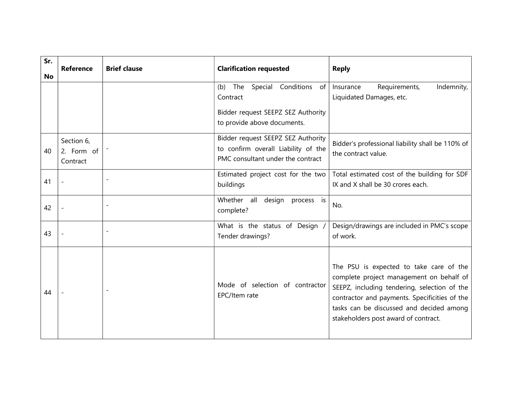| Sr.<br><b>No</b> | <b>Reference</b>                     | <b>Brief clause</b>      | <b>Clarification requested</b>                                                                                       | <b>Reply</b>                                                                                                                                                                                                                                                             |
|------------------|--------------------------------------|--------------------------|----------------------------------------------------------------------------------------------------------------------|--------------------------------------------------------------------------------------------------------------------------------------------------------------------------------------------------------------------------------------------------------------------------|
|                  |                                      |                          | Special Conditions of<br>The<br>(b)<br>Contract<br>Bidder request SEEPZ SEZ Authority<br>to provide above documents. | Requirements,<br>Indemnity,<br>Insurance<br>Liquidated Damages, etc.                                                                                                                                                                                                     |
| 40               | Section 6,<br>2. Form of<br>Contract |                          | Bidder request SEEPZ SEZ Authority<br>to confirm overall Liability of the<br>PMC consultant under the contract       | Bidder's professional liability shall be 110% of<br>the contract value.                                                                                                                                                                                                  |
| 41               |                                      |                          | Estimated project cost for the two<br>buildings                                                                      | Total estimated cost of the building for SDF<br>IX and X shall be 30 crores each.                                                                                                                                                                                        |
| 42               |                                      |                          | Whether all<br>design<br>process is<br>complete?                                                                     | No.                                                                                                                                                                                                                                                                      |
| 43               |                                      | $\blacksquare$           | What is the status of Design /<br>Tender drawings?                                                                   | Design/drawings are included in PMC's scope<br>of work.                                                                                                                                                                                                                  |
| 44               |                                      | $\overline{\phantom{a}}$ | Mode of selection of contractor<br>EPC/Item rate                                                                     | The PSU is expected to take care of the<br>complete project management on behalf of<br>SEEPZ, including tendering, selection of the<br>contractor and payments. Specificities of the<br>tasks can be discussed and decided among<br>stakeholders post award of contract. |